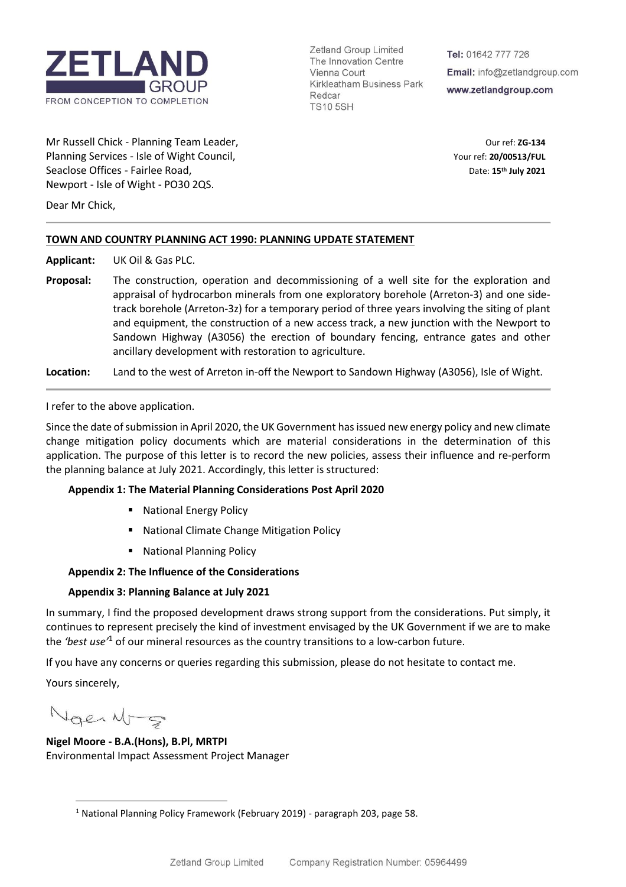

Zetland Group Limited The Innovation Centre Vienna Court Kirkleatham Business Park Redcar **TS10 5SH** 

Tel: 01642 777 726 Email: info@zetlandgroup.com www.zetlandgroup.com

Mr Russell Chick - Planning Team Leader, **Our ref: 2G-134** Our ref: 2G-134 Planning Services - Isle of Wight Council, The Council of Council Council Council Council Council Council Council Council Council Council Council Council Council Council Council Council Council Council Council Council Coun Seaclose Offices - Fairlee Road, Newport - Isle of Wight - PO30 2QS.

**th July 2021**

Dear Mr Chick,

# **TOWN AND COUNTRY PLANNING ACT 1990: PLANNING UPDATE STATEMENT**

**Applicant:** UK Oil & Gas PLC.

**Proposal:** The construction, operation and decommissioning of a well site for the exploration and appraisal of hydrocarbon minerals from one exploratory borehole (Arreton-3) and one sidetrack borehole (Arreton-3z) for a temporary period of three years involving the siting of plant and equipment, the construction of a new access track, a new junction with the Newport to Sandown Highway (A3056) the erection of boundary fencing, entrance gates and other ancillary development with restoration to agriculture.

**Location:** Land to the west of Arreton in-off the Newport to Sandown Highway (A3056), Isle of Wight.

I refer to the above application.

Since the date of submission in April 2020, the UK Government has issued new energy policy and new climate change mitigation policy documents which are material considerations in the determination of this application. The purpose of this letter is to record the new policies, assess their influence and re-perform the planning balance at July 2021. Accordingly, this letter is structured:

# **Appendix 1: The Material Planning Considerations Post April 2020**

- National Energy Policy
- National Climate Change Mitigation Policy
- National Planning Policy

#### **Appendix 2: The Influence of the Considerations**

# **Appendix 3: Planning Balance at July 2021**

In summary, I find the proposed development draws strong support from the considerations. Put simply, it continues to represent precisely the kind of investment envisaged by the UK Government if we are to make the *'best use'*<sup>1</sup> of our mineral resources as the country transitions to a low-carbon future.

If you have any concerns or queries regarding this submission, please do not hesitate to contact me.

Yours sincerely,

Nger Nrg

**Nigel Moore - B.A.(Hons), B.Pl, MRTPI** Environmental Impact Assessment Project Manager

<sup>&</sup>lt;sup>1</sup> National Planning Policy Framework (February 2019) - paragraph 203, page 58.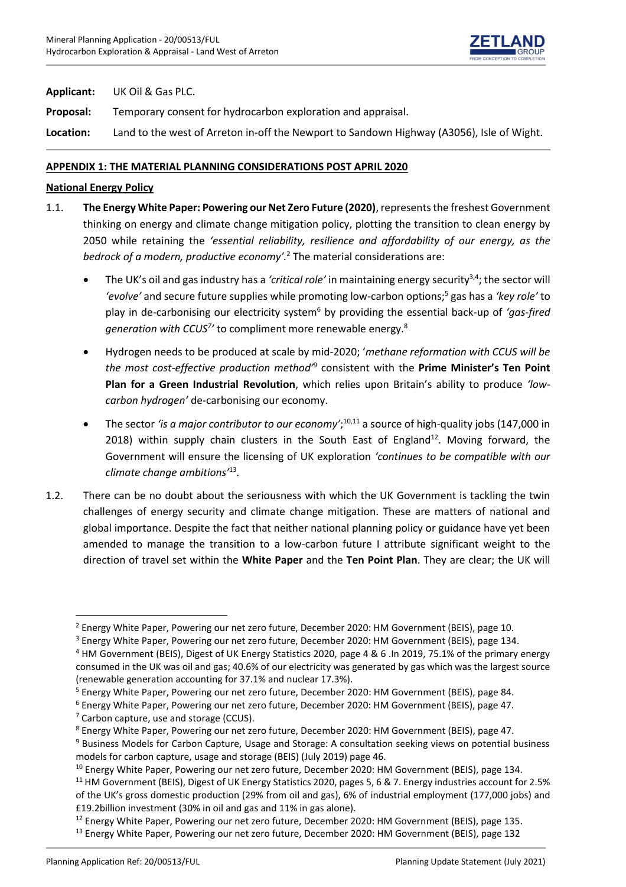

**Applicant:** UK Oil & Gas PLC.

**Proposal:** Temporary consent for hydrocarbon exploration and appraisal.

**Location:** Land to the west of Arreton in-off the Newport to Sandown Highway (A3056), Isle of Wight.

# **APPENDIX 1: THE MATERIAL PLANNING CONSIDERATIONS POST APRIL 2020**

### **National Energy Policy**

- 1.1. The Energy White Paper: Powering our Net Zero Future (2020), represents the freshest Government thinking on energy and climate change mitigation policy, plotting the transition to clean energy by 2050 while retaining the *'essential reliability, resilience and affordability of our energy, as the bedrock of a modern, productive economy'.*<sup>2</sup> The material considerations are:
	- The UK's oil and gas industry has a *'critical role'* in maintaining energy security<sup>3,4</sup>; the sector will *'evolve'* and secure future supplies while promoting low-carbon options;<sup>5</sup> gas has a *'key role'* to play in de-carbonising our electricity system<sup>6</sup> by providing the essential back-up of *'gas-fired generation with CCUS<sup>7</sup> '* to compliment more renewable energy.<sup>8</sup>
	- Hydrogen needs to be produced at scale by mid-2020; '*methane reformation with CCUS will be the most cost-effective production method'*<sup>9</sup> consistent with the **Prime Minister's Ten Point Plan for a Green Industrial Revolution**, which relies upon Britain's ability to produce *'lowcarbon hydrogen'* de-carbonising our economy.
	- The sector *'is a major contributor to our economy'*;<sup>10,11</sup> a source of high-quality jobs (147,000 in 2018) within supply chain clusters in the South East of England<sup>12</sup>. Moving forward, the Government will ensure the licensing of UK exploration *'continues to be compatible with our climate change ambitions'*<sup>13</sup> .
- 1.2. There can be no doubt about the seriousness with which the UK Government is tackling the twin challenges of energy security and climate change mitigation. These are matters of national and global importance. Despite the fact that neither national planning policy or guidance have yet been amended to manage the transition to a low-carbon future I attribute significant weight to the direction of travel set within the **White Paper** and the **Ten Point Plan**. They are clear; the UK will

<sup>2</sup> Energy White Paper, Powering our net zero future, December 2020: HM Government (BEIS), page 10.

<sup>&</sup>lt;sup>3</sup> Energy White Paper, Powering our net zero future, December 2020: HM Government (BEIS), page 134.

<sup>4</sup> HM Government (BEIS), Digest of UK Energy Statistics 2020, page 4 & 6 .In 2019, 75.1% of the primary energy consumed in the UK was oil and gas; 40.6% of our electricity was generated by gas which was the largest source (renewable generation accounting for 37.1% and nuclear 17.3%).

<sup>5</sup> Energy White Paper, Powering our net zero future, December 2020: HM Government (BEIS), page 84.

<sup>6</sup> Energy White Paper, Powering our net zero future, December 2020: HM Government (BEIS), page 47.

 $<sup>7</sup>$  Carbon capture, use and storage (CCUS).</sup>

<sup>8</sup> Energy White Paper, Powering our net zero future, December 2020: HM Government (BEIS), page 47.

<sup>&</sup>lt;sup>9</sup> Business Models for Carbon Capture, Usage and Storage: A consultation seeking views on potential business models for carbon capture, usage and storage (BEIS) (July 2019) page 46.

<sup>&</sup>lt;sup>10</sup> Energy White Paper, Powering our net zero future, December 2020: HM Government (BEIS), page 134.

<sup>&</sup>lt;sup>11</sup> HM Government (BEIS), Digest of UK Energy Statistics 2020, pages 5, 6 & 7. Energy industries account for 2.5% of the UK's gross domestic production (29% from oil and gas), 6% of industrial employment (177,000 jobs) and £19.2billion investment (30% in oil and gas and 11% in gas alone).

<sup>&</sup>lt;sup>12</sup> Energy White Paper, Powering our net zero future, December 2020: HM Government (BEIS), page 135.

<sup>&</sup>lt;sup>13</sup> Energy White Paper, Powering our net zero future, December 2020: HM Government (BEIS), page 132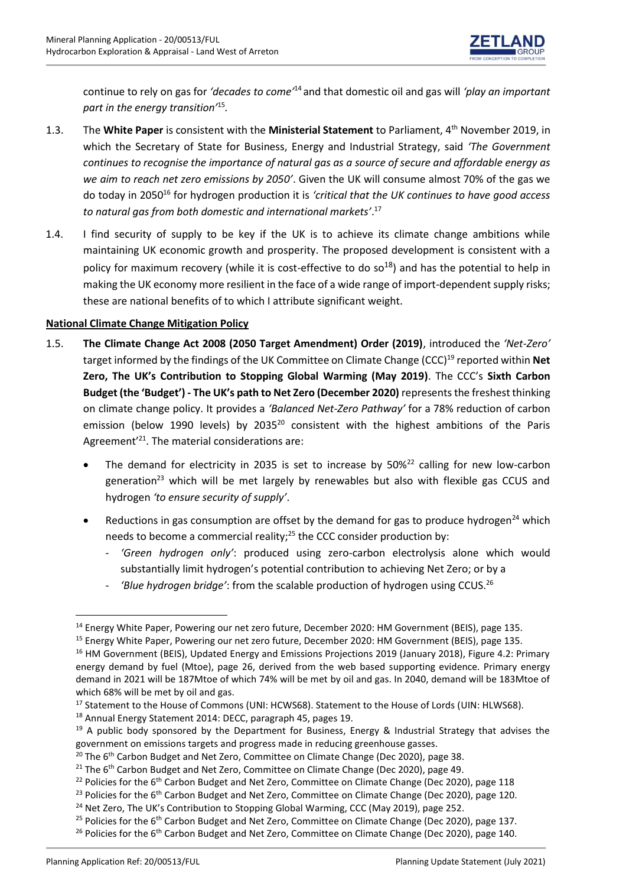

continue to rely on gas for *'decades to come'*<sup>14</sup> and that domestic oil and gas will *'play an important part in the energy transition'*<sup>15</sup> *.* 

- 1.3. The **White Paper** is consistent with the **Ministerial Statement** to Parliament, 4th November 2019, in which the Secretary of State for Business, Energy and Industrial Strategy, said *'The Government continues to recognise the importance of natural gas as a source of secure and affordable energy as we aim to reach net zero emissions by 2050'*. Given the UK will consume almost 70% of the gas we do today in 2050<sup>16</sup> for hydrogen production it is *'critical that the UK continues to have good access to natural gas from both domestic and international markets'*. 17
- 1.4. I find security of supply to be key if the UK is to achieve its climate change ambitions while maintaining UK economic growth and prosperity. The proposed development is consistent with a policy for maximum recovery (while it is cost-effective to do  $so^{18}$ ) and has the potential to help in making the UK economy more resilient in the face of a wide range of import-dependent supply risks; these are national benefits of to which I attribute significant weight.

#### **National Climate Change Mitigation Policy**

- 1.5. **The Climate Change Act 2008 (2050 Target Amendment) Order (2019)**, introduced the *'Net-Zero'* target informed by the findings of the UK Committee on Climate Change (CCC)<sup>19</sup> reported within **Net Zero, The UK's Contribution to Stopping Global Warming (May 2019)**. The CCC's **Sixth Carbon Budget (the 'Budget') - The UK's path to Net Zero (December 2020)** represents the freshest thinking on climate change policy. It provides a *'Balanced Net-Zero Pathway'* for a 78% reduction of carbon emission (below 1990 levels) by 2035<sup>20</sup> consistent with the highest ambitions of the Paris Agreement<sup>'21</sup>. The material considerations are:
	- The demand for electricity in 2035 is set to increase by  $50\%^{22}$  calling for new low-carbon generation<sup>23</sup> which will be met largely by renewables but also with flexible gas CCUS and hydrogen *'to ensure security of supply'*.
	- Reductions in gas consumption are offset by the demand for gas to produce hydrogen<sup>24</sup> which needs to become a commercial reality;<sup>25</sup> the CCC consider production by:
		- *'Green hydrogen only'*: produced using zero-carbon electrolysis alone which would substantially limit hydrogen's potential contribution to achieving Net Zero; or by a
		- *'Blue hydrogen bridge'*: from the scalable production of hydrogen using CCUS.<sup>26</sup>

<sup>18</sup> Annual Energy Statement 2014: DECC, paragraph 45, pages 19.

<sup>&</sup>lt;sup>14</sup> Energy White Paper, Powering our net zero future, December 2020: HM Government (BEIS), page 135.

<sup>&</sup>lt;sup>15</sup> Energy White Paper, Powering our net zero future, December 2020: HM Government (BEIS), page 135.

<sup>&</sup>lt;sup>16</sup> HM Government (BEIS), Updated Energy and Emissions Projections 2019 (January 2018), Figure 4.2: Primary energy demand by fuel (Mtoe), page 26, derived from the web based supporting evidence. Primary energy demand in 2021 will be 187Mtoe of which 74% will be met by oil and gas. In 2040, demand will be 183Mtoe of which 68% will be met by oil and gas.

<sup>&</sup>lt;sup>17</sup> Statement to the House of Commons (UNI: HCWS68). Statement to the House of Lords (UIN: HLWS68).

<sup>&</sup>lt;sup>19</sup> A public body sponsored by the Department for Business, Energy & Industrial Strategy that advises the government on emissions targets and progress made in reducing greenhouse gasses.

 $20$  The 6<sup>th</sup> Carbon Budget and Net Zero, Committee on Climate Change (Dec 2020), page 38.

 $21$  The 6<sup>th</sup> Carbon Budget and Net Zero, Committee on Climate Change (Dec 2020), page 49.

<sup>&</sup>lt;sup>22</sup> Policies for the 6<sup>th</sup> Carbon Budget and Net Zero, Committee on Climate Change (Dec 2020), page 118

<sup>&</sup>lt;sup>23</sup> Policies for the  $6<sup>th</sup>$  Carbon Budget and Net Zero, Committee on Climate Change (Dec 2020), page 120.

<sup>&</sup>lt;sup>24</sup> Net Zero, The UK's Contribution to Stopping Global Warming, CCC (May 2019), page 252.

<sup>&</sup>lt;sup>25</sup> Policies for the 6<sup>th</sup> Carbon Budget and Net Zero, Committee on Climate Change (Dec 2020), page 137.

<sup>&</sup>lt;sup>26</sup> Policies for the 6<sup>th</sup> Carbon Budget and Net Zero, Committee on Climate Change (Dec 2020), page 140.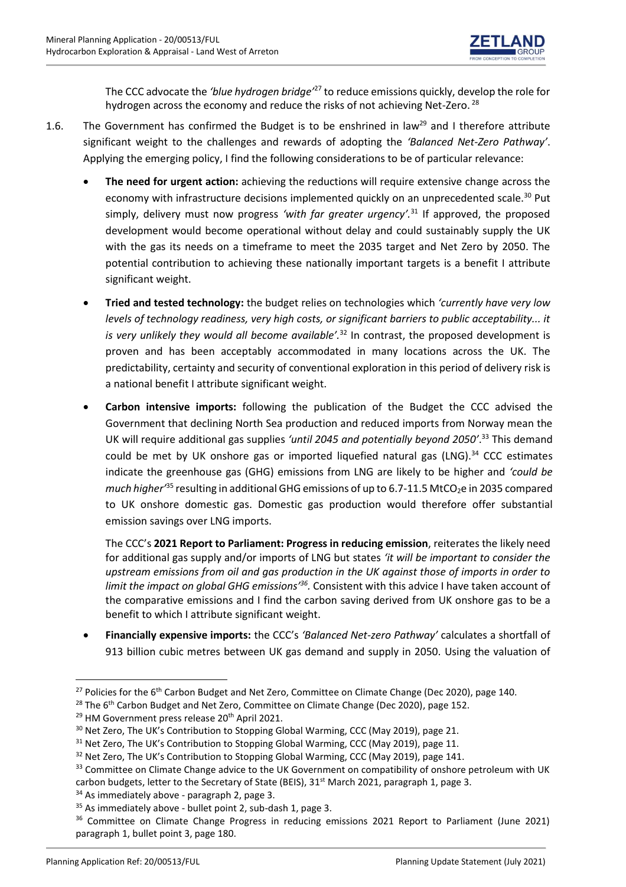

The CCC advocate the *'blue hydrogen bridge'*<sup>27</sup> to reduce emissions quickly, develop the role for hydrogen across the economy and reduce the risks of not achieving Net-Zero. <sup>28</sup>

- 1.6. The Government has confirmed the Budget is to be enshrined in law<sup>29</sup> and I therefore attribute significant weight to the challenges and rewards of adopting the *'Balanced Net-Zero Pathway'*. Applying the emerging policy, I find the following considerations to be of particular relevance:
	- **The need for urgent action:** achieving the reductions will require extensive change across the economy with infrastructure decisions implemented quickly on an unprecedented scale.<sup>30</sup> Put simply, delivery must now progress *'with far greater urgency'.*<sup>31</sup> If approved, the proposed development would become operational without delay and could sustainably supply the UK with the gas its needs on a timeframe to meet the 2035 target and Net Zero by 2050. The potential contribution to achieving these nationally important targets is a benefit I attribute significant weight.
	- **Tried and tested technology:** the budget relies on technologies which *'currently have very low levels of technology readiness, very high costs, or significant barriers to public acceptability... it is very unlikely they would all become available'.*<sup>32</sup> In contrast, the proposed development is proven and has been acceptably accommodated in many locations across the UK. The predictability, certainty and security of conventional exploration in this period of delivery risk is a national benefit I attribute significant weight.
	- **Carbon intensive imports:** following the publication of the Budget the CCC advised the Government that declining North Sea production and reduced imports from Norway mean the UK will require additional gas supplies *'until 2045 and potentially beyond 2050'*. <sup>33</sup> This demand could be met by UK onshore gas or imported liquefied natural gas (LNG).<sup>34</sup> CCC estimates indicate the greenhouse gas (GHG) emissions from LNG are likely to be higher and *'could be much higher*<sup>35</sup> resulting in additional GHG emissions of up to 6.7-11.5 MtCO<sub>2</sub>e in 2035 compared to UK onshore domestic gas. Domestic gas production would therefore offer substantial emission savings over LNG imports.

The CCC's **2021 Report to Parliament: Progress in reducing emission**, reiterates the likely need for additional gas supply and/or imports of LNG but states *'it will be important to consider the upstream emissions from oil and gas production in the UK against those of imports in order to*  limit the impact on global GHG emissions<sup>336</sup>. Consistent with this advice I have taken account of the comparative emissions and I find the carbon saving derived from UK onshore gas to be a benefit to which I attribute significant weight.

• **Financially expensive imports:** the CCC's *'Balanced Net-zero Pathway'* calculates a shortfall of 913 billion cubic metres between UK gas demand and supply in 2050. Using the valuation of

<sup>&</sup>lt;sup>27</sup> Policies for the 6<sup>th</sup> Carbon Budget and Net Zero, Committee on Climate Change (Dec 2020), page 140.

<sup>&</sup>lt;sup>28</sup> The  $6<sup>th</sup>$  Carbon Budget and Net Zero, Committee on Climate Change (Dec 2020), page 152.

<sup>&</sup>lt;sup>29</sup> HM Government press release 20<sup>th</sup> April 2021.

<sup>&</sup>lt;sup>30</sup> Net Zero, The UK's Contribution to Stopping Global Warming, CCC (May 2019), page 21.

<sup>&</sup>lt;sup>31</sup> Net Zero, The UK's Contribution to Stopping Global Warming, CCC (May 2019), page 11.

 $32$  Net Zero, The UK's Contribution to Stopping Global Warming, CCC (May 2019), page 141.

<sup>&</sup>lt;sup>33</sup> Committee on Climate Change advice to the UK Government on compatibility of onshore petroleum with UK carbon budgets, letter to the Secretary of State (BEIS),  $31<sup>st</sup>$  March 2021, paragraph 1, page 3.

 $34$  As immediately above - paragraph 2, page 3.

<sup>&</sup>lt;sup>35</sup> As immediately above - bullet point 2, sub-dash 1, page 3.

<sup>&</sup>lt;sup>36</sup> Committee on Climate Change Progress in reducing emissions 2021 Report to Parliament (June 2021) paragraph 1, bullet point 3, page 180.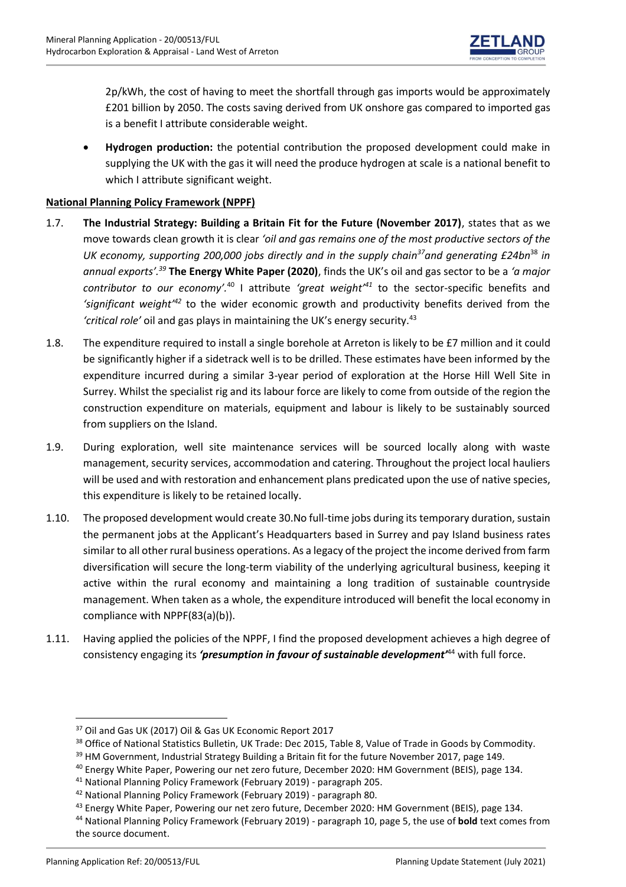

2p/kWh, the cost of having to meet the shortfall through gas imports would be approximately £201 billion by 2050. The costs saving derived from UK onshore gas compared to imported gas is a benefit I attribute considerable weight.

• **Hydrogen production:** the potential contribution the proposed development could make in supplying the UK with the gas it will need the produce hydrogen at scale is a national benefit to which I attribute significant weight.

# **National Planning Policy Framework (NPPF)**

- 1.7. **The Industrial Strategy: Building a Britain Fit for the Future (November 2017)**, states that as we move towards clean growth it is clear *'oil and gas remains one of the most productive sectors of the UK economy, supporting 200,000 jobs directly and in the supply chain <sup>37</sup>and generating £24bn*<sup>38</sup> *in annual exports'.<sup>39</sup>* **The Energy White Paper (2020)**, finds the UK's oil and gas sector to be a *'a major contributor to our economy'.*<sup>40</sup> I attribute *'great weight'<sup>41</sup>* to the sector-specific benefits and *'significant weight'<sup>42</sup>* to the wider economic growth and productivity benefits derived from the *'critical role'* oil and gas plays in maintaining the UK's energy security.<sup>43</sup>
- 1.8. The expenditure required to install a single borehole at Arreton is likely to be £7 million and it could be significantly higher if a sidetrack well is to be drilled. These estimates have been informed by the expenditure incurred during a similar 3-year period of exploration at the Horse Hill Well Site in Surrey. Whilst the specialist rig and its labour force are likely to come from outside of the region the construction expenditure on materials, equipment and labour is likely to be sustainably sourced from suppliers on the Island.
- 1.9. During exploration, well site maintenance services will be sourced locally along with waste management, security services, accommodation and catering. Throughout the project local hauliers will be used and with restoration and enhancement plans predicated upon the use of native species, this expenditure is likely to be retained locally.
- 1.10. The proposed development would create 30.No full-time jobs during its temporary duration, sustain the permanent jobs at the Applicant's Headquarters based in Surrey and pay Island business rates similar to all other rural business operations. As a legacy of the project the income derived from farm diversification will secure the long-term viability of the underlying agricultural business, keeping it active within the rural economy and maintaining a long tradition of sustainable countryside management. When taken as a whole, the expenditure introduced will benefit the local economy in compliance with NPPF(83(a)(b)).
- 1.11. Having applied the policies of the NPPF, I find the proposed development achieves a high degree of consistency engaging its *'presumption in favour of sustainable development'*<sup>44</sup> with full force.

<sup>37</sup> Oil and Gas UK (2017) Oil & Gas UK Economic Report 2017

<sup>38</sup> Office of National Statistics Bulletin, UK Trade: Dec 2015, Table 8, Value of Trade in Goods by Commodity.

<sup>&</sup>lt;sup>39</sup> HM Government, Industrial Strategy Building a Britain fit for the future November 2017, page 149.

<sup>40</sup> Energy White Paper, Powering our net zero future, December 2020: HM Government (BEIS), page 134.

<sup>41</sup> National Planning Policy Framework (February 2019) - paragraph 205.

<sup>42</sup> National Planning Policy Framework (February 2019) - paragraph 80.

<sup>&</sup>lt;sup>43</sup> Energy White Paper, Powering our net zero future, December 2020: HM Government (BEIS), page 134.

<sup>44</sup> National Planning Policy Framework (February 2019) - paragraph 10, page 5, the use of **bold** text comes from the source document.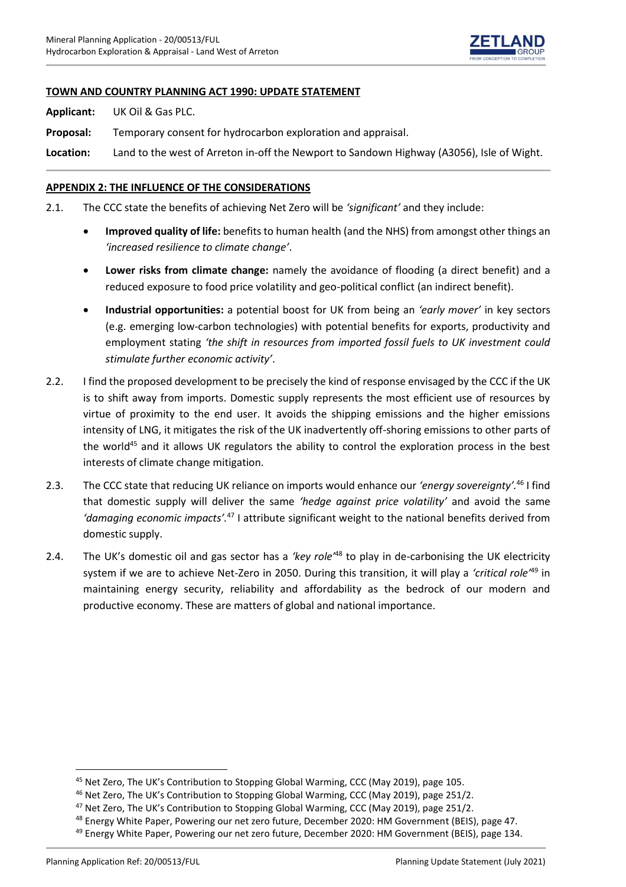

### **TOWN AND COUNTRY PLANNING ACT 1990: UPDATE STATEMENT**

**Applicant:** UK Oil & Gas PLC.

**Proposal:** Temporary consent for hydrocarbon exploration and appraisal.

**Location:** Land to the west of Arreton in-off the Newport to Sandown Highway (A3056), Isle of Wight.

### **APPENDIX 2: THE INFLUENCE OF THE CONSIDERATIONS**

2.1. The CCC state the benefits of achieving Net Zero will be *'significant'* and they include:

- **Improved quality of life:** benefits to human health (and the NHS) from amongst other things an *'increased resilience to climate change'*.
- **Lower risks from climate change:** namely the avoidance of flooding (a direct benefit) and a reduced exposure to food price volatility and geo-political conflict (an indirect benefit).
- **Industrial opportunities:** a potential boost for UK from being an *'early mover'* in key sectors (e.g. emerging low-carbon technologies) with potential benefits for exports, productivity and employment stating *'the shift in resources from imported fossil fuels to UK investment could stimulate further economic activity'*.
- 2.2. I find the proposed development to be precisely the kind of response envisaged by the CCC if the UK is to shift away from imports. Domestic supply represents the most efficient use of resources by virtue of proximity to the end user. It avoids the shipping emissions and the higher emissions intensity of LNG, it mitigates the risk of the UK inadvertently off-shoring emissions to other parts of the world<sup>45</sup> and it allows UK regulators the ability to control the exploration process in the best interests of climate change mitigation.
- 2.3. The CCC state that reducing UK reliance on imports would enhance our *'energy sovereignty'.*<sup>46</sup> I find that domestic supply will deliver the same *'hedge against price volatility'* and avoid the same *'damaging economic impacts'.*<sup>47</sup> I attribute significant weight to the national benefits derived from domestic supply.
- 2.4. The UK's domestic oil and gas sector has a *'key role'*<sup>48</sup> to play in de-carbonising the UK electricity system if we are to achieve Net-Zero in 2050. During this transition, it will play a *'critical role'*<sup>49</sup> in maintaining energy security, reliability and affordability as the bedrock of our modern and productive economy. These are matters of global and national importance.

<sup>45</sup> Net Zero, The UK's Contribution to Stopping Global Warming, CCC (May 2019), page 105.

<sup>&</sup>lt;sup>46</sup> Net Zero, The UK's Contribution to Stopping Global Warming, CCC (May 2019), page 251/2.

<sup>&</sup>lt;sup>47</sup> Net Zero, The UK's Contribution to Stopping Global Warming, CCC (May 2019), page 251/2.

<sup>&</sup>lt;sup>48</sup> Energy White Paper, Powering our net zero future, December 2020: HM Government (BEIS), page 47.

<sup>&</sup>lt;sup>49</sup> Energy White Paper, Powering our net zero future, December 2020: HM Government (BEIS), page 134.